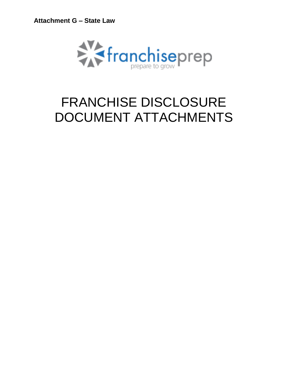

# FRANCHISE DISCLOSURE DOCUMENT ATTACHMENTS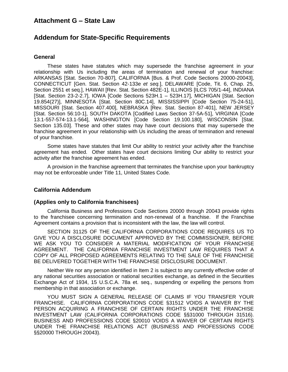# **Addendum for State-Specific Requirements**

#### **General**

These states have statutes which may supersede the franchise agreement in your relationship with Us including the areas of termination and renewal of your franchise: ARKANSAS [Stat. Section 70-807], CALIFORNIA [Bus. & Prof. Code Sections 20000-20043], CONNECTICUT [Gen. Stat. Section 42-133e *et seq.*], DELAWARE [Code, Tit. 6, Chap. 25, Section 2551 et seq.], HAWAII [Rev. Stat. Section 482E-1], ILLINOIS [ILCS 705/1-44], INDIANA [Stat. Section 23-2-2.7], IOWA [Code Sections 523H.1 – 523H.17], MICHIGAN [Stat. Section 19.854(27)], MINNESOTA [Stat. Section 80C.14], MISSISSIPPI [Code Section 75-24-51], MISSOURI [Stat. Section 407.400], NEBRASKA [Rev. Stat. Section 87-401], NEW JERSEY [Stat. Section 56:10-1], SOUTH DAKOTA [Codified Laws Section 37-5A-51], VIRGINIA [Code 13.1-557-574-13.1-564], WASHINGTON [Code Section 19.100.180], WISCONSIN [Stat. Section 135.03]. These and other states may have court decisions that may supersede the franchise agreement in your relationship with Us including the areas of termination and renewal of your franchise.

Some states have statutes that limit Our ability to restrict your activity after the franchise agreement has ended. Other states have court decisions limiting Our ability to restrict your activity after the franchise agreement has ended.

A provision in the franchise agreement that terminates the franchise upon your bankruptcy may not be enforceable under Title 11, United States Code.

#### **California Addendum**

#### **(Applies only to California franchisees)**

California Business and Professions Code Sections 20000 through 20043 provide rights to the franchisee concerning termination and non-renewal of a franchise. If the Franchise Agreement contains a provision that is inconsistent with the law, the law will control.

SECTION 31125 OF THE CALIFORNIA CORPORATIONS CODE REQUIRES US TO GIVE YOU A DISCLOSURE DOCUMENT APPROVED BY THE COMMISSIONER, BEFORE WE ASK YOU TO CONSIDER A MATERIAL MODIFICATION OF YOUR FRANCHISE AGREEMENT. THE CALIFORNIA FRANCHISE INVESTMENT LAW REQUIRES THAT A COPY OF ALL PROPOSED AGREEMENTS RELATING TO THE SALE OF THE FRANCHISE BE DELIVERED TOGETHER WITH THE FRANCHISE DISCLOSURE DOCUMENT.

Neither We nor any person identified in Item 2 is subject to any currently effective order of any national securities association or national securities exchange, as defined in the Securities Exchange Act of 1934, 15 U.S.C.A. 78a et. seq., suspending or expelling the persons from membership in that association or exchange.

YOU MUST SIGN A GENERAL RELEASE OF CLAIMS IF YOU TRANSFER YOUR FRANCHISE. CALIFORNIA CORPORATIONS CODE §31512 VOIDS A WAIVER BY THE PERSON ACQUIRING A FRANCHISE OF CERTAIN RIGHTS UNDER THE FRANCHISE INVESTMENT LAW (CALIFORNIA CORPORATIONS CODE §§31000 THROUGH 31516). BUSINESS AND PROFESSIONS CODE §20010 VOIDS A WAIVER OF CERTAIN RIGHTS UNDER THE FRANCHISE RELATIONS ACT (BUSINESS AND PROFESSIONS CODE §§20000 THROUGH 20043).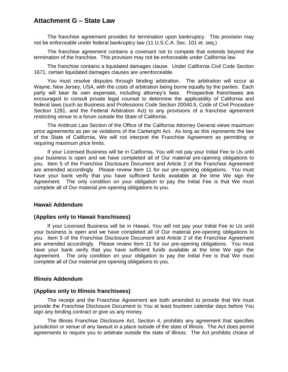The franchise agreement provides for termination upon bankruptcy. This provision may not be enforceable under federal bankruptcy law (11 U.S.C.A. Sec. 101 et. seq.)

The franchise agreement contains a covenant not to compete that extends beyond the termination of the franchise. This provision may not be enforceable under California law.

The franchise contains a liquidated damages clause. Under California Civil Code Section 1671, certain liquidated damages clauses are unenforceable.

You must resolve disputes through binding arbitration. The arbitration will occur at Wayne, New Jersey, USA, with the costs of arbitration being borne equally by the parties. Each party will bear its own expenses, including attorney's fees. Prospective franchisees are encouraged to consult private legal counsel to determine the applicability of California and federal laws (such as Business and Professions Code Section 20040.5, Code of Civil Procedure Section 1281, and the Federal Arbitration Act) to any provisions of a franchise agreement restricting venue to a forum outside the State of California.

The Antitrust Law Section of the Office of the California Attorney General views maximum price agreements as per se violations of the Cartwright Act. As long as this represents the law of the State of California, We will not interpret the Franchise Agreement as permitting or requiring maximum price limits.

If your Licensed Business will be in California, You will not pay your Initial Fee to Us until your business is open and we have completed all of Our material pre-opening obligations to you. Item 5 of the Franchise Disclosure Document and Article 2 of the Franchise Agreement are amended accordingly. Please review Item 11 for our pre-opening obligations. You must have your bank verify that you have sufficient funds available at the time We sign the Agreement. The only condition on your obligation to pay the Initial Fee is that We must complete all of Our material pre-opening obligations to you.

#### **Hawaii Addendum**

#### **(Applies only to Hawaii franchisees)**

If your Licensed Business will be in Hawaii, You will not pay your Initial Fee to Us until your business is open and we have completed all of Our material pre-opening obligations to you. Item 5 of the Franchise Disclosure Document and Article 2 of the Franchise Agreement are amended accordingly. Please review Item 11 for our pre-opening obligations. You must have your bank verify that you have sufficient funds available at the time We sign the Agreement. The only condition on your obligation to pay the Initial Fee is that We must complete all of Our material pre-opening obligations to you.

#### **Illinois Addendum**

#### **(Applies only to Illinois franchisees)**

The receipt and the Franchise Agreement are both amended to provide that We must provide the Franchise Disclosure Document to You at least fourteen calendar days before You sign any binding contract or give us any money.

The Illinois Franchise Disclosure Act, Section 4, prohibits any agreement that specifies jurisdiction or venue of any lawsuit in a place outside of the state of Illinois. The Act does permit agreements to require you to arbitrate outside the state of Illinois. The Act prohibits choice of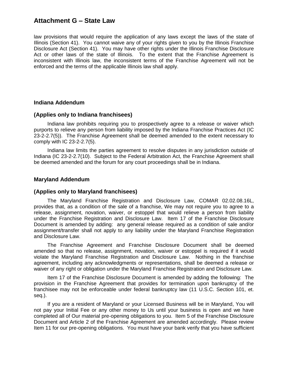law provisions that would require the application of any laws except the laws of the state of Illinois (Section 41). You cannot waive any of your rights given to you by the Illinois Franchise Disclosure Act (Section 41). You may have other rights under the Illinois Franchise Disclosure Act or other laws of the state of Illinois. To the extent that the Franchise Agreement is inconsistent with Illinois law, the inconsistent terms of the Franchise Agreement will not be enforced and the terms of the applicable Illinois law shall apply.

### **Indiana Addendum**

#### **(Applies only to Indiana franchisees)**

Indiana law prohibits requiring you to prospectively agree to a release or waiver which purports to relieve any person from liability imposed by the Indiana Franchise Practices Act (IC 23-2-2.7(5)). The Franchise Agreement shall be deemed amended to the extent necessary to comply with IC 23-2-2.7(5).

Indiana law limits the parties agreement to resolve disputes in any jurisdiction outside of Indiana (IC 23-2-2.7(10). Subject to the Federal Arbitration Act, the Franchise Agreement shall be deemed amended and the forum for any court proceedings shall be in Indiana.

#### **Maryland Addendum**

#### **(Applies only to Maryland franchisees)**

The Maryland Franchise Registration and Disclosure Law, COMAR 02.02.08.16L, provides that, as a condition of the sale of a franchise, We may not require you to agree to a release, assignment, novation, waiver, or estoppel that would relieve a person from liability under the Franchise Registration and Disclosure Law. Item 17 of the Franchise Disclosure Document is amended by adding: any general release required as a condition of sale and/or assignment/transfer shall not apply to any liability under the Maryland Franchise Registration and Disclosure Law.

The Franchise Agreement and Franchise Disclosure Document shall be deemed amended so that no release, assignment, novation, waiver or estoppel is required if it would violate the Maryland Franchise Registration and Disclosure Law. Nothing in the franchise agreement, including any acknowledgments or representations, shall be deemed a release or waiver of any right or obligation under the Maryland Franchise Registration and Disclosure Law.

Item 17 of the Franchise Disclosure Document is amended by adding the following: The provision in the Franchise Agreement that provides for termination upon bankruptcy of the franchisee may not be enforceable under federal bankruptcy law (11 U.S.C. Section 101, et. seq.).

If you are a resident of Maryland or your Licensed Business will be in Maryland, You will not pay your Initial Fee or any other money to Us until your business is open and we have completed all of Our material pre-opening obligations to you. Item 5 of the Franchise Disclosure Document and Article 2 of the Franchise Agreement are amended accordingly. Please review Item 11 for our pre-opening obligations. You must have your bank verify that you have sufficient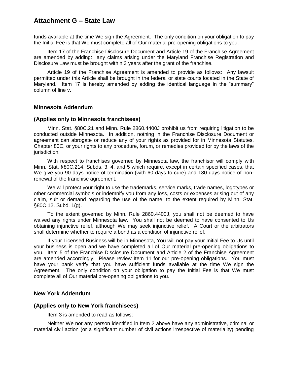funds available at the time We sign the Agreement. The only condition on your obligation to pay the Initial Fee is that We must complete all of Our material pre-opening obligations to you.

Item 17 of the Franchise Disclosure Document and Article 19 of the Franchise Agreement are amended by adding: any claims arising under the Maryland Franchise Registration and Disclosure Law must be brought within 3 years after the grant of the franchise.

Article 19 of the Franchise Agreement is amended to provide as follows: Any lawsuit permitted under this Article shall be brought in the federal or state courts located in the State of Maryland. Item 17 is hereby amended by adding the identical language in the "summary" column of line v.

#### **Minnesota Addendum**

#### **(Applies only to Minnesota franchisees)**

Minn. Stat. §80C.21 and Minn. Rule 2860.4400J prohibit us from requiring litigation to be conducted outside Minnesota. In addition, nothing in the Franchise Disclosure Document or agreement can abrogate or reduce any of your rights as provided for in Minnesota Statutes, Chapter 80C, or your rights to any procedure, forum, or remedies provided for by the laws of the jurisdiction.

With respect to franchises governed by Minnesota law, the franchisor will comply with Minn. Stat. §80C.214, Subds. 3, 4, and 5 which require, except in certain specified cases, that We give you 90 days notice of termination (with 60 days to cure) and 180 days notice of nonrenewal of the franchise agreement.

We will protect your right to use the trademarks, service marks, trade names, logotypes or other commercial symbols or indemnify you from any loss, costs or expenses arising out of any claim, suit or demand regarding the use of the name, to the extent required by Minn. Stat. §80C.12, Subd. 1(g).

To the extent governed by Minn. Rule 2860.4400J, you shall not be deemed to have waived any rights under Minnesota law. You shall not be deemed to have consented to Us obtaining injunctive relief, although We may seek injunctive relief. A Court or the arbitrators shall determine whether to require a bond as a condition of injunctive relief.

If your Licensed Business will be in Minnesota, You will not pay your Initial Fee to Us until your business is open and we have completed all of Our material pre-opening obligations to you. Item 5 of the Franchise Disclosure Document and Article 2 of the Franchise Agreement are amended accordingly. Please review Item 11 for our pre-opening obligations. You must have your bank verify that you have sufficient funds available at the time We sign the Agreement. The only condition on your obligation to pay the Initial Fee is that We must complete all of Our material pre-opening obligations to you.

#### **New York Addendum**

#### **(Applies only to New York franchisees)**

Item 3 is amended to read as follows:

Neither We nor any person identified in Item 2 above have any administrative, criminal or material civil action (or a significant number of civil actions irrespective of materiality) pending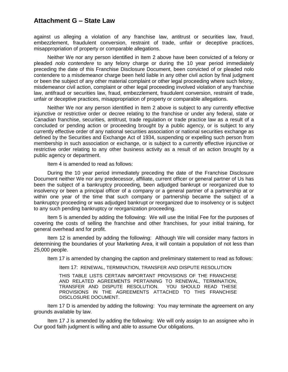against us alleging a violation of any franchise law, antitrust or securities law, fraud, embezzlement, fraudulent conversion, restraint of trade, unfair or deceptive practices, misappropriation of property or comparable allegations.

Neither We nor any person identified in Item 2 above have been convicted of a felony or pleaded *nolo contendere* to any felony charge or during the 10 year period immediately preceding the date of this Franchise Disclosure Document, been convicted of or pleaded nolo contendere to a misdemeanor charge been held liable in any other civil action by final judgment or been the subject of any other material complaint or other legal proceeding where such felony, misdemeanor civil action, complaint or other legal proceeding involved violation of any franchise law, antifraud or securities law, fraud, embezzlement, fraudulent conversion, restraint of trade, unfair or deceptive practices, misappropriation of property or comparable allegations.

Neither We nor any person identified in Item 2 above is subject to any currently effective injunctive or restrictive order or decree relating to the franchise or under any federal, state or Canadian franchise, securities, antitrust, trade regulation or trade practice law as a result of a concluded or pending action or proceeding brought by a public agency, or is subject to any currently effective order of any national securities association or national securities exchange as defined by the Securities and Exchange Act of 1934, suspending or expelling such person from membership in such association or exchange, or is subject to a currently effective injunctive or restrictive order relating to any other business activity as a result of an action brought by a public agency or department.

Item 4 is amended to read as follows:

During the 10 year period immediately preceding the date of the Franchise Disclosure Document neither We nor any predecessor, affiliate, current officer or general partner of Us has been the subject of a bankruptcy proceeding, been adjudged bankrupt or reorganized due to insolvency or been a principal officer of a company or a general partner of a partnership at or within one year of the time that such company or partnership became the subject of a bankruptcy proceeding or was adjudged bankrupt or reorganized due to insolvency or is subject to any such pending bankruptcy or reorganization proceeding.

Item 5 is amended by adding the following: We will use the Initial Fee for the purposes of covering the costs of selling the franchise and other franchises, for your initial training, for general overhead and for profit.

Item 12 is amended by adding the following: Although We will consider many factors in determining the boundaries of your Marketing Area, it will contain a population of not less than 25,000 people.

Item 17 is amended by changing the caption and preliminary statement to read as follows:

Item 17: RENEWAL, TERMINATION, TRANSFER AND DISPUTE RESOLUTION

THIS TABLE LISTS CERTAIN IMPORTANT PROVISIONS OF THE FRANCHISE AND RELATED AGREEMENTS PERTAINING TO RENEWAL, TERMINATION, TRANSFER AND DISPUTE RESOLUTION. YOU SHOULD READ THESE PROVISIONS IN THE AGREEMENTS ATTACHED TO THIS FRANCHISE DISCLOSURE DOCUMENT.

Item 17 D is amended by adding the following: You may terminate the agreement on any grounds available by law.

Item 17 J is amended by adding the following: We will only assign to an assignee who in Our good faith judgment is willing and able to assume Our obligations.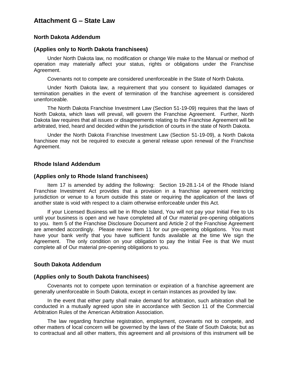#### **North Dakota Addendum**

#### **(Applies only to North Dakota franchisees)**

Under North Dakota law, no modification or change We make to the Manual or method of operation may materially affect your status, rights or obligations under the Franchise Agreement.

Covenants not to compete are considered unenforceable in the State of North Dakota.

Under North Dakota law, a requirement that you consent to liquidated damages or termination penalties in the event of termination of the franchise agreement is considered unenforceable.

The North Dakota Franchise Investment Law (Section 51-19-09) requires that the laws of North Dakota, which laws will prevail, will govern the Franchise Agreement. Further, North Dakota law requires that all issues or disagreements relating to the Franchise Agreement will be arbitrated, tried, heard and decided within the jurisdiction of courts in the state of North Dakota.

Under the North Dakota Franchise Investment Law (Section 51-19-09), a North Dakota franchisee may not be required to execute a general release upon renewal of the Franchise Agreement.

#### **Rhode Island Addendum**

#### **(Applies only to Rhode Island franchisees)**

Item 17 is amended by adding the following: Section 19-28.1-14 of the Rhode Island Franchise Investment Act provides that a provision in a franchise agreement restricting jurisdiction or venue to a forum outside this state or requiring the application of the laws of another state is void with respect to a claim otherwise enforceable under this Act.

If your Licensed Business will be in Rhode Island, You will not pay your Initial Fee to Us until your business is open and we have completed all of Our material pre-opening obligations to you. Item 5 of the Franchise Disclosure Document and Article 2 of the Franchise Agreement are amended accordingly. Please review Item 11 for our pre-opening obligations. You must have your bank verify that you have sufficient funds available at the time We sign the Agreement. The only condition on your obligation to pay the Initial Fee is that We must complete all of Our material pre-opening obligations to you.

#### **South Dakota Addendum**

#### **(Applies only to South Dakota franchisees)**

Covenants not to compete upon termination or expiration of a franchise agreement are generally unenforceable in South Dakota, except in certain instances as provided by law.

In the event that either party shall make demand for arbitration, such arbitration shall be conducted in a mutually agreed upon site in accordance with Section 11 of the Commercial Arbitration Rules of the American Arbitration Association.

The law regarding franchise registration, employment, covenants not to compete, and other matters of local concern will be governed by the laws of the State of South Dakota; but as to contractual and all other matters, this agreement and all provisions of this instrument will be